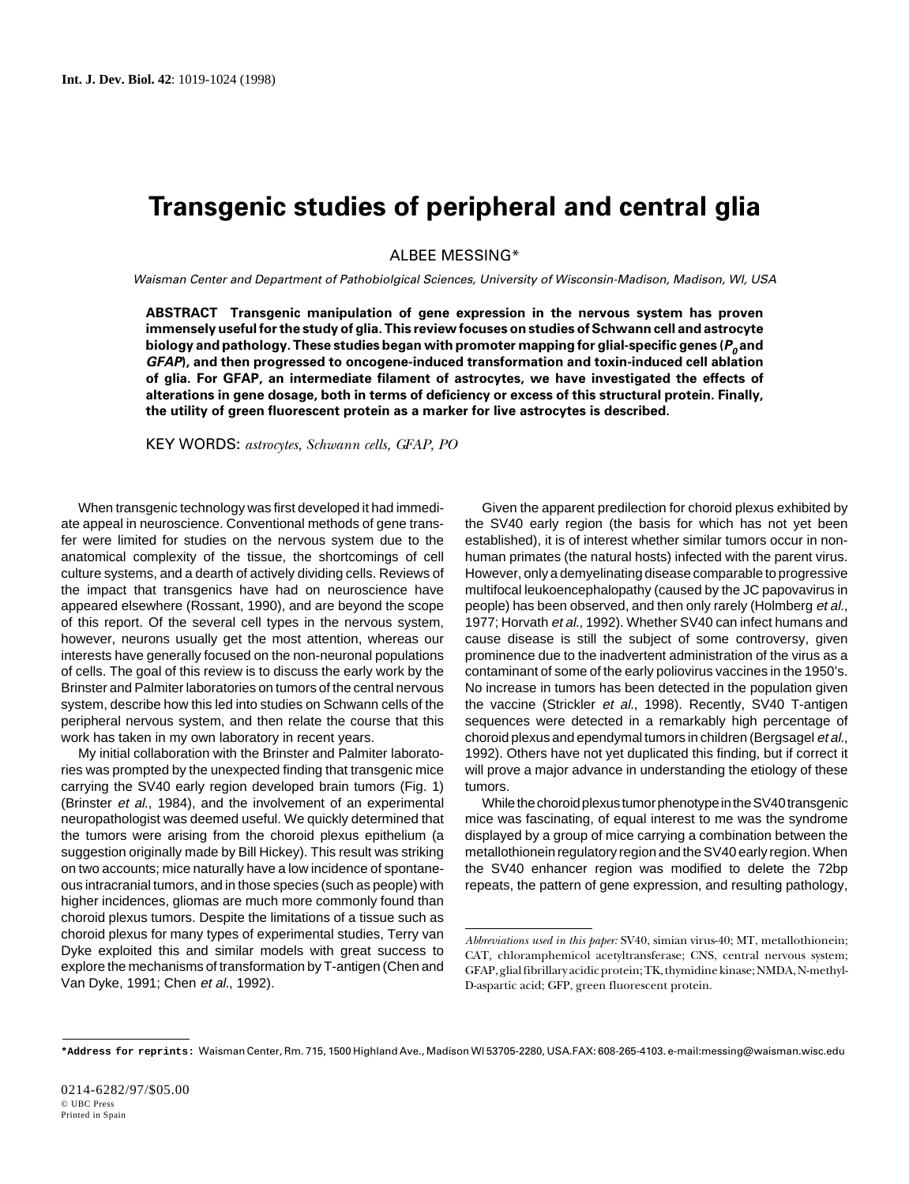## **Transgenic studies of peripheral and central glia**

ALBEE MESSING\*

Waisman Center and Department of Pathobiolgical Sciences, University of Wisconsin-Madison, Madison, Wl, USA

**ABSTRACT Transgenic manipulation of gene expression in the nervous system has proven immensely useful for the study of glia. This review focuses on studies of Schwann cell and astrocyte biology and pathology. These studies began with promoter mapping for glial-specific genes (P<sup>0</sup> and GFAP), and then progressed to oncogene-induced transformation and toxin-induced cell ablation of glia. For GFAP, an intermediate filament of astrocytes, we have investigated the effects of alterations in gene dosage, both in terms of deficiency or excess of this structural protein. Finally, the utility of green fluorescent protein as a marker for live astrocytes is described.**

KEY WORDS: *astrocytes, Schwann cells, GFAP, PO*

When transgenic technology was first developed it had immediate appeal in neuroscience. Conventional methods of gene transfer were limited for studies on the nervous system due to the anatomical complexity of the tissue, the shortcomings of cell culture systems, and a dearth of actively dividing cells. Reviews of the impact that transgenics have had on neuroscience have appeared elsewhere (Rossant, 1990), and are beyond the scope of this report. Of the several cell types in the nervous system, however, neurons usually get the most attention, whereas our interests have generally focused on the non-neuronal populations of cells. The goal of this review is to discuss the early work by the Brinster and Palmiter laboratories on tumors of the central nervous system, describe how this led into studies on Schwann cells of the peripheral nervous system, and then relate the course that this work has taken in my own laboratory in recent years.

My initial collaboration with the Brinster and Palmiter laboratories was prompted by the unexpected finding that transgenic mice carrying the SV40 early region developed brain tumors (Fig. 1) (Brinster et al., 1984), and the involvement of an experimental neuropathologist was deemed useful. We quickly determined that the tumors were arising from the choroid plexus epithelium (a suggestion originally made by Bill Hickey). This result was striking on two accounts; mice naturally have a low incidence of spontaneous intracranial tumors, and in those species (such as people) with higher incidences, gliomas are much more commonly found than choroid plexus tumors. Despite the limitations of a tissue such as choroid plexus for many types of experimental studies, Terry van Dyke exploited this and similar models with great success to explore the mechanisms of transformation by T-antigen (Chen and Van Dyke, 1991; Chen et al., 1992).

Given the apparent predilection for choroid plexus exhibited by the SV40 early region (the basis for which has not yet been established), it is of interest whether similar tumors occur in nonhuman primates (the natural hosts) infected with the parent virus. However, only a demyelinating disease comparable to progressive multifocal leukoencephalopathy (caused by the JC papovavirus in people) has been observed, and then only rarely (Holmberg et al., 1977; Horvath et al., 1992). Whether SV40 can infect humans and cause disease is still the subject of some controversy, given prominence due to the inadvertent administration of the virus as a contaminant of some of the early poliovirus vaccines in the 1950's. No increase in tumors has been detected in the population given the vaccine (Strickler et al., 1998). Recently, SV40 T-antigen sequences were detected in a remarkably high percentage of choroid plexus and ependymal tumors in children (Bergsagel et al., 1992). Others have not yet duplicated this finding, but if correct it will prove a major advance in understanding the etiology of these tumors.

While the choroid plexus tumor phenotype in the SV40 transgenic mice was fascinating, of equal interest to me was the syndrome displayed by a group of mice carrying a combination between the metallothionein regulatory region and the SV40 early region. When the SV40 enhancer region was modified to delete the 72bp repeats, the pattern of gene expression, and resulting pathology,

*Abbreviations used in this paper:* SV40, simian virus-40; MT, metallothionein; CAT, chloramphemicol acetyltransferase; CNS, central nervous system; GFAP, glial fibrillary acidic protein; TK, thymidine kinase; NMDA, N-methyl-D-aspartic acid; GFP, green fluorescent protein.

**<sup>\*</sup>Address for reprints:** Waisman Center, Rm. 715, 1500 Highland Ave., Madison Wl 53705-2280, USA.FAX: 608-265-4103. e-mail:messing@waisman.wisc.edu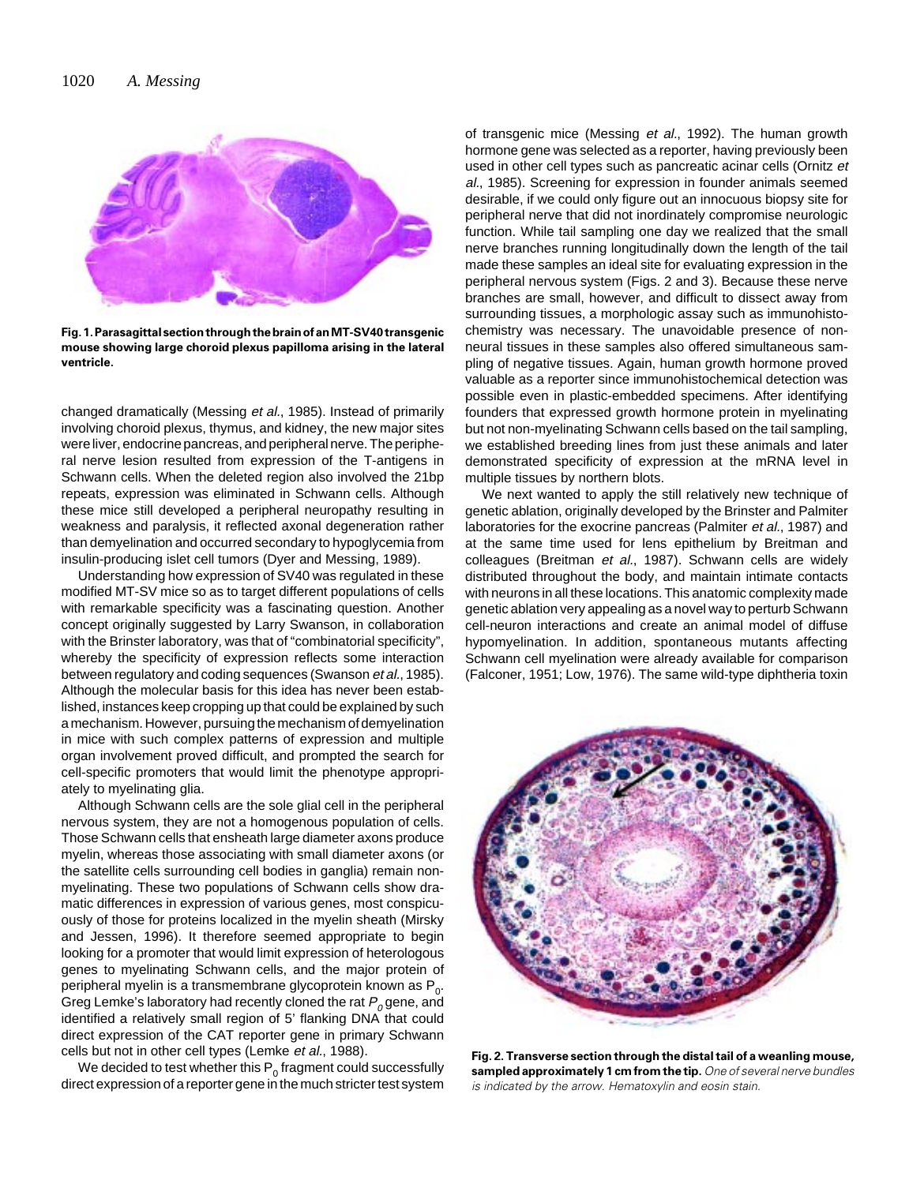

**Fig. 1. Parasagittal section through the brain of an MT-SV40 transgenic mouse showing large choroid plexus papilloma arising in the lateral ventricle.**

changed dramatically (Messing et al., 1985). Instead of primarily involving choroid plexus, thymus, and kidney, the new major sites were liver, endocrine pancreas, and peripheral nerve. The peripheral nerve lesion resulted from expression of the T-antigens in Schwann cells. When the deleted region also involved the 21bp repeats, expression was eliminated in Schwann cells. Although these mice still developed a peripheral neuropathy resulting in weakness and paralysis, it reflected axonal degeneration rather than demyelination and occurred secondary to hypoglycemia from insulin-producing islet cell tumors (Dyer and Messing, 1989).

Understanding how expression of SV40 was regulated in these modified MT-SV mice so as to target different populations of cells with remarkable specificity was a fascinating question. Another concept originally suggested by Larry Swanson, in collaboration with the Brinster laboratory, was that of "combinatorial specificity", whereby the specificity of expression reflects some interaction between regulatory and coding sequences (Swanson et al., 1985). Although the molecular basis for this idea has never been established, instances keep cropping up that could be explained by such a mechanism. However, pursuing the mechanism of demyelination in mice with such complex patterns of expression and multiple organ involvement proved difficult, and prompted the search for cell-specific promoters that would limit the phenotype appropriately to myelinating glia.

Although Schwann cells are the sole glial cell in the peripheral nervous system, they are not a homogenous population of cells. Those Schwann cells that ensheath large diameter axons produce myelin, whereas those associating with small diameter axons (or the satellite cells surrounding cell bodies in ganglia) remain nonmyelinating. These two populations of Schwann cells show dramatic differences in expression of various genes, most conspicuously of those for proteins localized in the myelin sheath (Mirsky and Jessen, 1996). It therefore seemed appropriate to begin looking for a promoter that would limit expression of heterologous genes to myelinating Schwann cells, and the major protein of peripheral myelin is a transmembrane glycoprotein known as  $P_0$ . Greg Lemke's laboratory had recently cloned the rat  $P_o$  gene, and identified a relatively small region of 5' flanking DNA that could direct expression of the CAT reporter gene in primary Schwann cells but not in other cell types (Lemke et al., 1988).

We decided to test whether this  $P_0$  fragment could successfully direct expression of a reporter gene in the much stricter test system of transgenic mice (Messing et al., 1992). The human growth hormone gene was selected as a reporter, having previously been used in other cell types such as pancreatic acinar cells (Ornitz et al., 1985). Screening for expression in founder animals seemed desirable, if we could only figure out an innocuous biopsy site for peripheral nerve that did not inordinately compromise neurologic function. While tail sampling one day we realized that the small nerve branches running longitudinally down the length of the tail made these samples an ideal site for evaluating expression in the peripheral nervous system (Figs. 2 and 3). Because these nerve branches are small, however, and difficult to dissect away from surrounding tissues, a morphologic assay such as immunohistochemistry was necessary. The unavoidable presence of nonneural tissues in these samples also offered simultaneous sampling of negative tissues. Again, human growth hormone proved valuable as a reporter since immunohistochemical detection was possible even in plastic-embedded specimens. After identifying founders that expressed growth hormone protein in myelinating but not non-myelinating Schwann cells based on the tail sampling, we established breeding lines from just these animals and later demonstrated specificity of expression at the mRNA level in multiple tissues by northern blots.

We next wanted to apply the still relatively new technique of genetic ablation, originally developed by the Brinster and Palmiter laboratories for the exocrine pancreas (Palmiter et al., 1987) and at the same time used for lens epithelium by Breitman and colleagues (Breitman et al., 1987). Schwann cells are widely distributed throughout the body, and maintain intimate contacts with neurons in all these locations. This anatomic complexity made genetic ablation very appealing as a novel way to perturb Schwann cell-neuron interactions and create an animal model of diffuse hypomyelination. In addition, spontaneous mutants affecting Schwann cell myelination were already available for comparison (Falconer, 1951; Low, 1976). The same wild-type diphtheria toxin



**Fig. 2. Transverse section through the distal tail of a weanling mouse, sampled approximately 1 cm from the tip.**One of several nerve bundles is indicated by the arrow. Hematoxylin and eosin stain.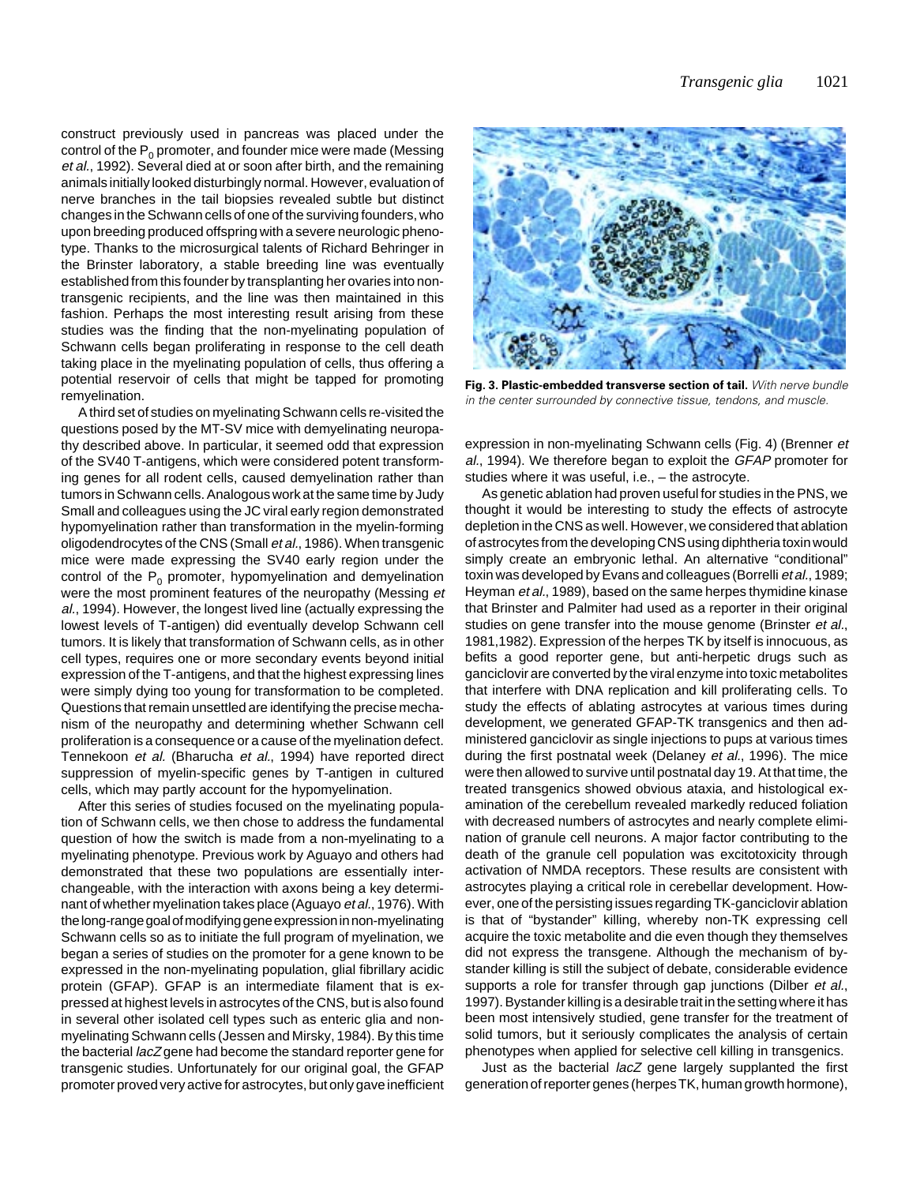construct previously used in pancreas was placed under the control of the  $P_0$  promoter, and founder mice were made (Messing et al., 1992). Several died at or soon after birth, and the remaining animals initially looked disturbingly normal. However, evaluation of nerve branches in the tail biopsies revealed subtle but distinct changes in the Schwann cells of one of the surviving founders, who upon breeding produced offspring with a severe neurologic phenotype. Thanks to the microsurgical talents of Richard Behringer in the Brinster laboratory, a stable breeding line was eventually established from this founder by transplanting her ovaries into nontransgenic recipients, and the line was then maintained in this fashion. Perhaps the most interesting result arising from these studies was the finding that the non-myelinating population of Schwann cells began proliferating in response to the cell death taking place in the myelinating population of cells, thus offering a potential reservoir of cells that might be tapped for promoting remyelination.

A third set of studies on myelinating Schwann cells re-visited the questions posed by the MT-SV mice with demyelinating neuropathy described above. In particular, it seemed odd that expression of the SV40 T-antigens, which were considered potent transforming genes for all rodent cells, caused demyelination rather than tumors in Schwann cells. Analogous work at the same time by Judy Small and colleagues using the JC viral early region demonstrated hypomyelination rather than transformation in the myelin-forming oligodendrocytes of the CNS (Small et al., 1986). When transgenic mice were made expressing the SV40 early region under the control of the  $P_0$  promoter, hypomyelination and demyelination were the most prominent features of the neuropathy (Messing et al., 1994). However, the longest lived line (actually expressing the lowest levels of T-antigen) did eventually develop Schwann cell tumors. It is likely that transformation of Schwann cells, as in other cell types, requires one or more secondary events beyond initial expression of the T-antigens, and that the highest expressing lines were simply dying too young for transformation to be completed. Questions that remain unsettled are identifying the precise mechanism of the neuropathy and determining whether Schwann cell proliferation is a consequence or a cause of the myelination defect. Tennekoon et al. (Bharucha et al., 1994) have reported direct suppression of myelin-specific genes by T-antigen in cultured cells, which may partly account for the hypomyelination.

After this series of studies focused on the myelinating population of Schwann cells, we then chose to address the fundamental question of how the switch is made from a non-myelinating to a myelinating phenotype. Previous work by Aguayo and others had demonstrated that these two populations are essentially interchangeable, with the interaction with axons being a key determinant of whether myelination takes place (Aguayo et al., 1976). With the long-range goal of modifying gene expression in non-myelinating Schwann cells so as to initiate the full program of myelination, we began a series of studies on the promoter for a gene known to be expressed in the non-myelinating population, glial fibrillary acidic protein (GFAP). GFAP is an intermediate filament that is expressed at highest levels in astrocytes of the CNS, but is also found in several other isolated cell types such as enteric glia and nonmyelinating Schwann cells (Jessen and Mirsky, 1984). By this time the bacterial *lacZ* gene had become the standard reporter gene for transgenic studies. Unfortunately for our original goal, the GFAP promoter proved very active for astrocytes, but only gave inefficient



**Fig. 3. Plastic-embedded transverse section of tail.** With nerve bundle in the center surrounded by connective tissue, tendons, and muscle.

expression in non-myelinating Schwann cells (Fig. 4) (Brenner et al., 1994). We therefore began to exploit the GFAP promoter for studies where it was useful, i.e., – the astrocyte.

As genetic ablation had proven useful for studies in the PNS, we thought it would be interesting to study the effects of astrocyte depletion in the CNS as well. However, we considered that ablation of astrocytes from the developing CNS using diphtheria toxin would simply create an embryonic lethal. An alternative "conditional" toxin was developed by Evans and colleagues (Borrelli et al., 1989; Heyman *et al.*, 1989), based on the same herpes thymidine kinase that Brinster and Palmiter had used as a reporter in their original studies on gene transfer into the mouse genome (Brinster et al., 1981,1982). Expression of the herpes TK by itself is innocuous, as befits a good reporter gene, but anti-herpetic drugs such as ganciclovir are converted by the viral enzyme into toxic metabolites that interfere with DNA replication and kill proliferating cells. To study the effects of ablating astrocytes at various times during development, we generated GFAP-TK transgenics and then administered ganciclovir as single injections to pups at various times during the first postnatal week (Delaney et al., 1996). The mice were then allowed to survive until postnatal day 19. At that time, the treated transgenics showed obvious ataxia, and histological examination of the cerebellum revealed markedly reduced foliation with decreased numbers of astrocytes and nearly complete elimination of granule cell neurons. A major factor contributing to the death of the granule cell population was excitotoxicity through activation of NMDA receptors. These results are consistent with astrocytes playing a critical role in cerebellar development. However, one of the persisting issues regarding TK-ganciclovir ablation is that of "bystander" killing, whereby non-TK expressing cell acquire the toxic metabolite and die even though they themselves did not express the transgene. Although the mechanism of bystander killing is still the subject of debate, considerable evidence supports a role for transfer through gap junctions (Dilber et al., 1997). Bystander killing is a desirable trait in the setting where it has been most intensively studied, gene transfer for the treatment of solid tumors, but it seriously complicates the analysis of certain phenotypes when applied for selective cell killing in transgenics.

Just as the bacterial lacZ gene largely supplanted the first generation of reporter genes (herpes TK, human growth hormone),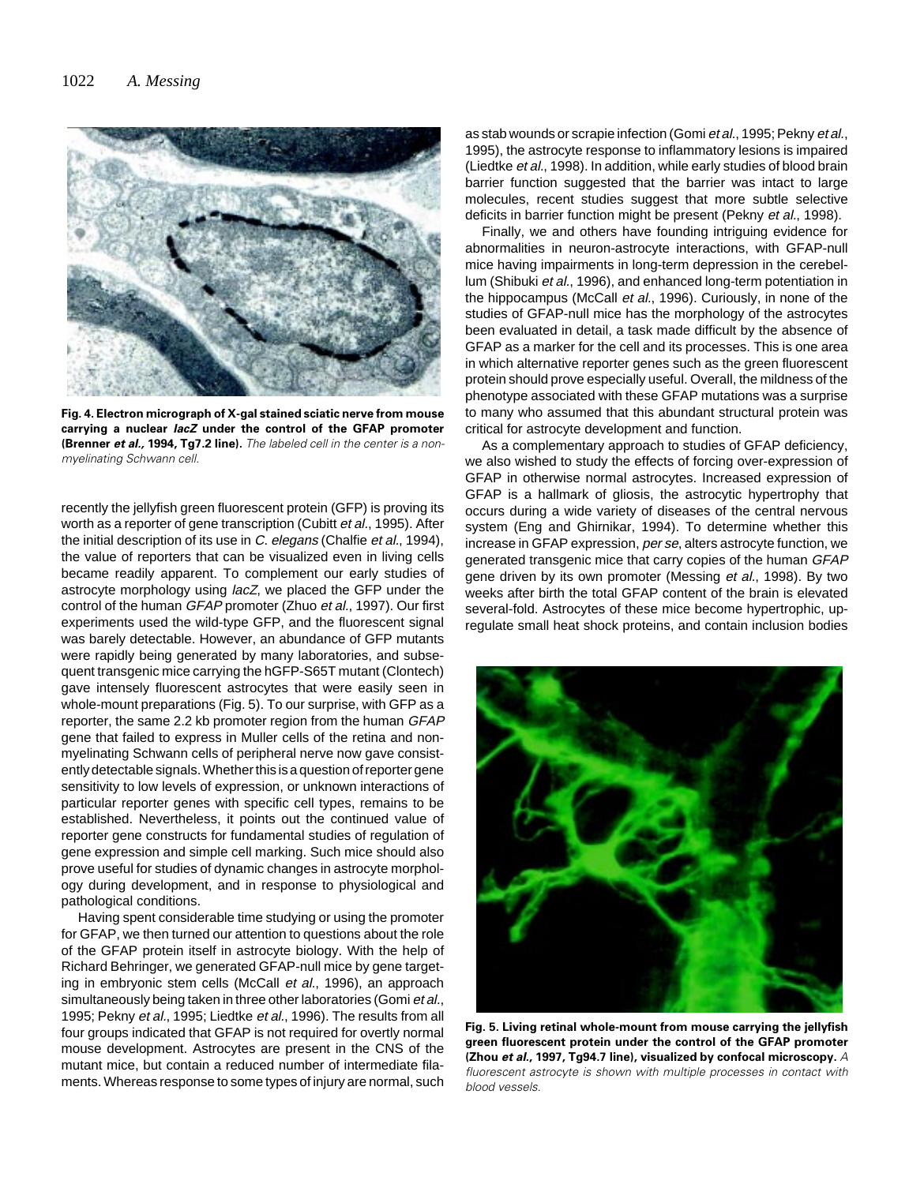

**Fig. 4. Electron micrograph of X-gal stained sciatic nerve from mouse carrying a nuclear lacZ under the control of the GFAP promoter (Brenner et al., 1994, Tg7.2 line).** The labeled cell in the center is a nonmyelinating Schwann cell.

recently the jellyfish green fluorescent protein (GFP) is proving its worth as a reporter of gene transcription (Cubitt et al., 1995). After the initial description of its use in C. elegans (Chalfie et al., 1994). the value of reporters that can be visualized even in living cells became readily apparent. To complement our early studies of astrocyte morphology using lacZ, we placed the GFP under the control of the human GFAP promoter (Zhuo et al., 1997). Our first experiments used the wild-type GFP, and the fluorescent signal was barely detectable. However, an abundance of GFP mutants were rapidly being generated by many laboratories, and subsequent transgenic mice carrying the hGFP-S65T mutant (Clontech) gave intensely fluorescent astrocytes that were easily seen in whole-mount preparations (Fig. 5). To our surprise, with GFP as a reporter, the same 2.2 kb promoter region from the human GFAP gene that failed to express in Muller cells of the retina and nonmyelinating Schwann cells of peripheral nerve now gave consistently detectable signals. Whether this is a question of reporter gene sensitivity to low levels of expression, or unknown interactions of particular reporter genes with specific cell types, remains to be established. Nevertheless, it points out the continued value of reporter gene constructs for fundamental studies of regulation of gene expression and simple cell marking. Such mice should also prove useful for studies of dynamic changes in astrocyte morphology during development, and in response to physiological and pathological conditions.

Having spent considerable time studying or using the promoter for GFAP, we then turned our attention to questions about the role of the GFAP protein itself in astrocyte biology. With the help of Richard Behringer, we generated GFAP-null mice by gene targeting in embryonic stem cells (McCall et al., 1996), an approach simultaneously being taken in three other laboratories (Gomi et al., 1995; Pekny et al., 1995; Liedtke et al., 1996). The results from all four groups indicated that GFAP is not required for overtly normal mouse development. Astrocytes are present in the CNS of the mutant mice, but contain a reduced number of intermediate filaments. Whereas response to some types of injury are normal, such as stab wounds or scrapie infection (Gomi et al., 1995; Pekny et al., 1995), the astrocyte response to inflammatory lesions is impaired (Liedtke et al., 1998). In addition, while early studies of blood brain barrier function suggested that the barrier was intact to large molecules, recent studies suggest that more subtle selective deficits in barrier function might be present (Pekny et al., 1998).

Finally, we and others have founding intriguing evidence for abnormalities in neuron-astrocyte interactions, with GFAP-null mice having impairments in long-term depression in the cerebellum (Shibuki et al., 1996), and enhanced long-term potentiation in the hippocampus (McCall et al., 1996). Curiously, in none of the studies of GFAP-null mice has the morphology of the astrocytes been evaluated in detail, a task made difficult by the absence of GFAP as a marker for the cell and its processes. This is one area in which alternative reporter genes such as the green fluorescent protein should prove especially useful. Overall, the mildness of the phenotype associated with these GFAP mutations was a surprise to many who assumed that this abundant structural protein was critical for astrocyte development and function.

As a complementary approach to studies of GFAP deficiency, we also wished to study the effects of forcing over-expression of GFAP in otherwise normal astrocytes. Increased expression of GFAP is a hallmark of gliosis, the astrocytic hypertrophy that occurs during a wide variety of diseases of the central nervous system (Eng and Ghirnikar, 1994). To determine whether this increase in GFAP expression, per se, alters astrocyte function, we generated transgenic mice that carry copies of the human GFAP gene driven by its own promoter (Messing et al., 1998). By two weeks after birth the total GFAP content of the brain is elevated several-fold. Astrocytes of these mice become hypertrophic, upregulate small heat shock proteins, and contain inclusion bodies



**Fig. 5. Living retinal whole-mount from mouse carrying the jellyfish green fluorescent protein under the control of the GFAP promoter (Zhou et al., 1997, Tg94.7 line), visualized by confocal microscopy.** A fluorescent astrocyte is shown with multiple processes in contact with blood vessels.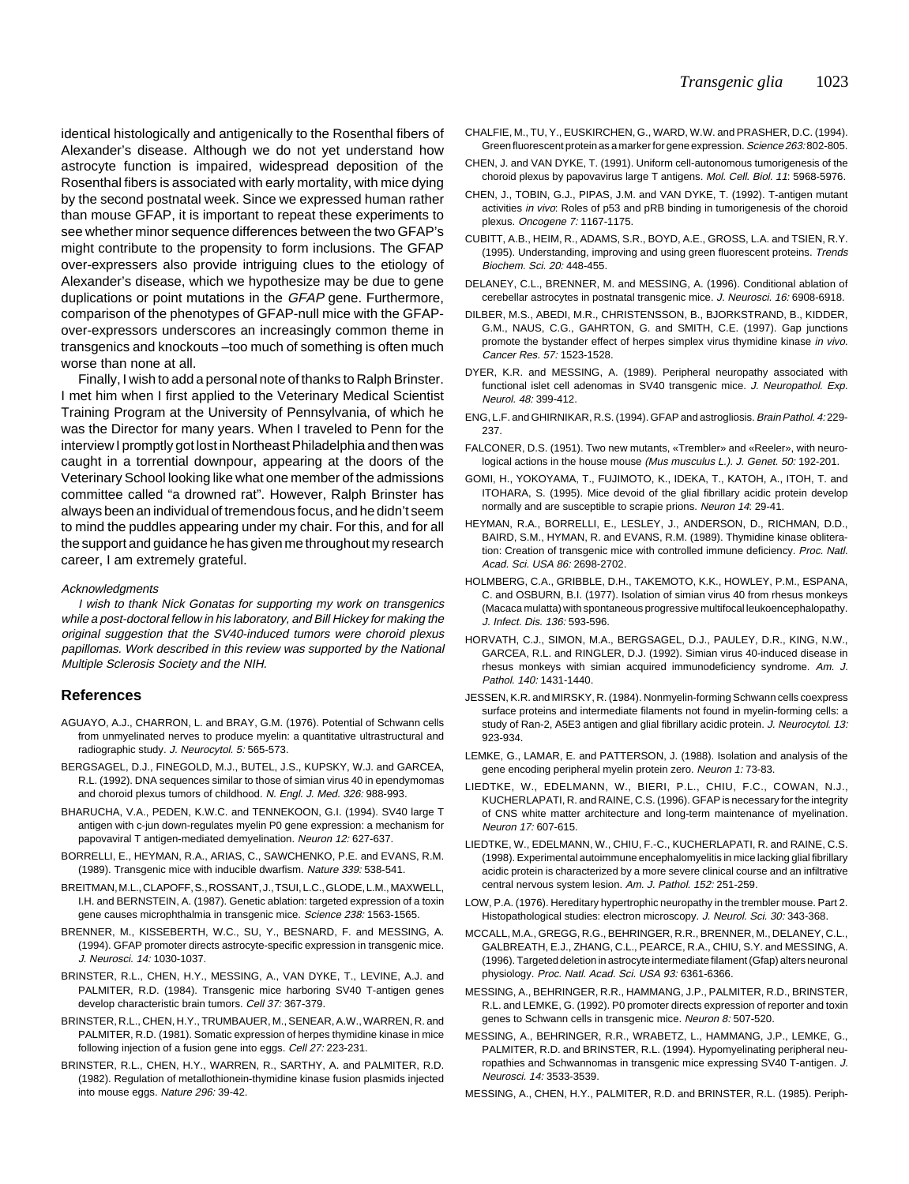identical histologically and antigenically to the Rosenthal fibers of Alexander's disease. Although we do not yet understand how astrocyte function is impaired, widespread deposition of the Rosenthal fibers is associated with early mortality, with mice dying by the second postnatal week. Since we expressed human rather than mouse GFAP, it is important to repeat these experiments to see whether minor sequence differences between the two GFAP's might contribute to the propensity to form inclusions. The GFAP over-expressers also provide intriguing clues to the etiology of Alexander's disease, which we hypothesize may be due to gene duplications or point mutations in the GFAP gene. Furthermore, comparison of the phenotypes of GFAP-null mice with the GFAPover-expressors underscores an increasingly common theme in transgenics and knockouts –too much of something is often much worse than none at all.

Finally, I wish to add a personal note of thanks to Ralph Brinster. I met him when I first applied to the Veterinary Medical Scientist Training Program at the University of Pennsylvania, of which he was the Director for many years. When I traveled to Penn for the interview I promptly got lost in Northeast Philadelphia and then was caught in a torrential downpour, appearing at the doors of the Veterinary School looking like what one member of the admissions committee called "a drowned rat". However, Ralph Brinster has always been an individual of tremendous focus, and he didn't seem to mind the puddles appearing under my chair. For this, and for all the support and guidance he has given me throughout my research career, I am extremely grateful.

## **Acknowledaments**

I wish to thank Nick Gonatas for supporting my work on transgenics while a post-doctoral fellow in his laboratory, and Bill Hickey for making the original suggestion that the SV40-induced tumors were choroid plexus papillomas. Work described in this review was supported by the National Multiple Sclerosis Society and the NIH.

## **References**

- AGUAYO, A.J., CHARRON, L. and BRAY, G.M. (1976). Potential of Schwann cells from unmyelinated nerves to produce myelin: a quantitative ultrastructural and radiographic study. J. Neurocytol. 5: 565-573.
- BERGSAGEL, D.J., FINEGOLD, M.J., BUTEL, J.S., KUPSKY, W.J. and GARCEA, R.L. (1992). DNA sequences similar to those of simian virus 40 in ependymomas and choroid plexus tumors of childhood. N. Engl. J. Med. 326: 988-993.
- BHARUCHA, V.A., PEDEN, K.W.C. and TENNEKOON, G.I. (1994). SV40 large T antigen with c-jun down-regulates myelin P0 gene expression: a mechanism for papovaviral T antigen-mediated demyelination. Neuron 12: 627-637.
- BORRELLI, E., HEYMAN, R.A., ARIAS, C., SAWCHENKO, P.E. and EVANS, R.M. (1989). Transgenic mice with inducible dwarfism. Nature 339: 538-541.
- BREITMAN, M.L., CLAPOFF, S., ROSSANT, J., TSUI, L.C., GLODE, L.M., MAXWELL, I.H. and BERNSTEIN, A. (1987). Genetic ablation: targeted expression of a toxin gene causes microphthalmia in transgenic mice. Science 238: 1563-1565.
- BRENNER, M., KISSEBERTH, W.C., SU, Y., BESNARD, F. and MESSING, A. (1994). GFAP promoter directs astrocyte-specific expression in transgenic mice. J. Neurosci. 14: 1030-1037.
- BRINSTER, R.L., CHEN, H.Y., MESSING, A., VAN DYKE, T., LEVINE, A.J. and PALMITER, R.D. (1984). Transgenic mice harboring SV40 T-antigen genes develop characteristic brain tumors. Cell 37: 367-379.
- BRINSTER, R.L., CHEN, H.Y., TRUMBAUER, M., SENEAR, A.W., WARREN, R. and PALMITER, R.D. (1981). Somatic expression of herpes thymidine kinase in mice following injection of a fusion gene into eggs. Cell 27: 223-231.
- BRINSTER, R.L., CHEN, H.Y., WARREN, R., SARTHY, A. and PALMITER, R.D. (1982). Regulation of metallothionein-thymidine kinase fusion plasmids injected into mouse eggs. Nature 296: 39-42.
- CHALFIE, M., TU, Y., EUSKIRCHEN, G., WARD, W.W. and PRASHER, D.C. (1994). Green fluorescent protein as a marker for gene expression. Science 263: 802-805.
- CHEN, J. and VAN DYKE, T. (1991). Uniform cell-autonomous tumorigenesis of the choroid plexus by papovavirus large T antigens. Mol. Cell. Biol. 11: 5968-5976.
- CHEN, J., TOBIN, G.J., PIPAS, J.M. and VAN DYKE, T. (1992). T-antigen mutant activities in vivo: Roles of p53 and pRB binding in tumorigenesis of the choroid plexus. Oncogene 7: 1167-1175.
- CUBITT, A.B., HEIM, R., ADAMS, S.R., BOYD, A.E., GROSS, L.A. and TSIEN, R.Y. (1995). Understanding, improving and using green fluorescent proteins. Trends Biochem. Sci. 20: 448-455.
- DELANEY, C.L., BRENNER, M. and MESSING, A. (1996). Conditional ablation of cerebellar astrocytes in postnatal transgenic mice. J. Neurosci. 16: 6908-6918.
- DILBER, M.S., ABEDI, M.R., CHRISTENSSON, B., BJORKSTRAND, B., KIDDER, G.M., NAUS, C.G., GAHRTON, G. and SMITH, C.E. (1997). Gap junctions promote the bystander effect of herpes simplex virus thymidine kinase in vivo. Cancer Res. 57: 1523-1528.
- DYER, K.R. and MESSING, A. (1989). Peripheral neuropathy associated with functional islet cell adenomas in SV40 transgenic mice. J. Neuropathol. Exp. Neurol. 48: 399-412.
- ENG, L.F. and GHIRNIKAR, R.S. (1994). GFAP and astrogliosis. Brain Pathol. 4: 229- 237.
- FALCONER, D.S. (1951). Two new mutants, «Trembler» and «Reeler», with neurological actions in the house mouse (Mus musculus L.). J. Genet. 50: 192-201.
- GOMI, H., YOKOYAMA, T., FUJIMOTO, K., IDEKA, T., KATOH, A., ITOH, T. and ITOHARA, S. (1995). Mice devoid of the glial fibrillary acidic protein develop normally and are susceptible to scrapie prions. Neuron 14: 29-41.
- HEYMAN, R.A., BORRELLI, E., LESLEY, J., ANDERSON, D., RICHMAN, D.D., BAIRD, S.M., HYMAN, R. and EVANS, R.M. (1989). Thymidine kinase obliteration: Creation of transgenic mice with controlled immune deficiency. Proc. Natl. Acad. Sci. USA 86: 2698-2702.
- HOLMBERG, C.A., GRIBBLE, D.H., TAKEMOTO, K.K., HOWLEY, P.M., ESPANA, C. and OSBURN, B.I. (1977). Isolation of simian virus 40 from rhesus monkeys (Macaca mulatta) with spontaneous progressive multifocal leukoencephalopathy. J. Infect. Dis. 136: 593-596.
- HORVATH, C.J., SIMON, M.A., BERGSAGEL, D.J., PAULEY, D.R., KING, N.W., GARCEA, R.L. and RINGLER, D.J. (1992). Simian virus 40-induced disease in rhesus monkeys with simian acquired immunodeficiency syndrome. Am. J. Pathol. 140: 1431-1440.
- JESSEN, K.R. and MIRSKY, R. (1984). Nonmyelin-forming Schwann cells coexpress surface proteins and intermediate filaments not found in myelin-forming cells: a study of Ran-2, A5E3 antigen and glial fibrillary acidic protein. J. Neurocytol. 13: 923-934.
- LEMKE, G., LAMAR, E. and PATTERSON, J. (1988). Isolation and analysis of the gene encoding peripheral myelin protein zero. Neuron 1: 73-83.
- LIEDTKE, W., EDELMANN, W., BIERI, P.L., CHIU, F.C., COWAN, N.J., KUCHERLAPATI, R. and RAINE, C.S. (1996). GFAP is necessary for the integrity of CNS white matter architecture and long-term maintenance of myelination. Neuron 17: 607-615.
- LIEDTKE, W., EDELMANN, W., CHIU, F.-C., KUCHERLAPATI, R. and RAINE, C.S. (1998). Experimental autoimmune encephalomyelitis in mice lacking glial fibrillary acidic protein is characterized by a more severe clinical course and an infiltrative central nervous system lesion. Am. J. Pathol. 152: 251-259.
- LOW, P.A. (1976). Hereditary hypertrophic neuropathy in the trembler mouse. Part 2. Histopathological studies: electron microscopy. J. Neurol. Sci. 30: 343-368.
- MCCALL, M.A., GREGG, R.G., BEHRINGER, R.R., BRENNER, M., DELANEY, C.L., GALBREATH, E.J., ZHANG, C.L., PEARCE, R.A., CHIU, S.Y. and MESSING, A. (1996). Targeted deletion in astrocyte intermediate filament (Gfap) alters neuronal physiology. Proc. Natl. Acad. Sci. USA 93: 6361-6366.
- MESSING, A., BEHRINGER, R.R., HAMMANG, J.P., PALMITER, R.D., BRINSTER, R.L. and LEMKE, G. (1992). P0 promoter directs expression of reporter and toxin genes to Schwann cells in transgenic mice. Neuron 8: 507-520.
- MESSING, A., BEHRINGER, R.R., WRABETZ, L., HAMMANG, J.P., LEMKE, G., PALMITER, R.D. and BRINSTER, R.L. (1994). Hypomyelinating peripheral neuropathies and Schwannomas in transgenic mice expressing SV40 T-antigen. J. Neurosci. 14: 3533-3539.

MESSING, A., CHEN, H.Y., PALMITER, R.D. and BRINSTER, R.L. (1985). Periph-